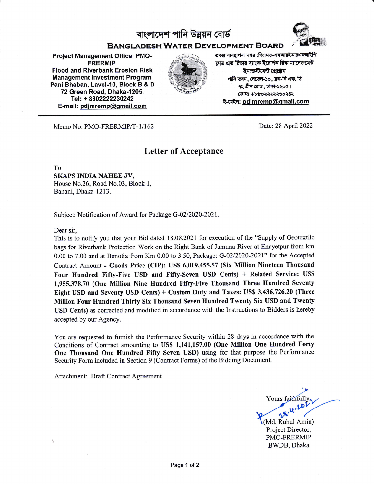## বাংলাদেশ পানি উন্নয়ন বোর্ড



## BANGLADESH WATER DEVELOPMENT BOARD

Project Management Office: PMO-FRERMIP Flood and Riverbank Erosion Risk Management lnvestment Program Pani Bhaban, Lavel-10, Block B & D 72 Green Road, Dhaka-l205. Tel: + 8802222230242 E-mail: pdimremp@qmail.com



প্ৰকল্প ব্যবহাপনা দপ্তর :পিএমও-এফআরইআরএমআইপি ফ্লাড এন্ড রিভার ব্যাংক ইরোশন রিষ্ক ম্যানেজমেন্ট ইনভেস্টমেন্ট প্ৰোগ্ৰাম পানি ভবন, লেভেল-১০, ব্লক-বি এবং ডি  $q$ ২ গ্রীন রোড, ঢাকা-১২০৫। কোনঃ +৮৮০২২২২২৩০২৪২ ই-মেইল: pdjmremp@gmail.com

Memo No: PMO-FRERMIP/T-1/162 Date: 28 April 2022

## Letter of Acceptance

To

SKAPS INDIA NAHEE JV, House No.26, Road No.03, Block-I, Banani, Dhaka-1213.

Subject: Notification of Award for Package G-02/2020-2021.

Dear sir,

This is to notify you that your Bid dated 18.08.2021 for execution of the "Supply of Geotextile" bags for Riverbank Protection Work on the Right Bank of Jamuna River at Enayetpur from km 0.00 to 7.00 and at Benotia from Km 0.00 to 3.50, Package: G-02/2020-2021" for the Accepted Contract Amount - Goods Price (CIP): US\$ 6,019,455.57 (Six Million Nineteen Thousand Four Hundred Fifty-Five USD and Fifty-Seven USD Cents) + Related Service: US\$ 1,955,378.70 (One Miltion Nine Hundred Fifty-Five Thousand Three Hundred Seventy Eight USD and Seventy USD Cents) \* Custom Duty and Taxes: US\$ 3,436,726.20 (Three Million Four Hundred Thirty Six Thousand Seven Hundred Twenty Six USD and Twenty USD Cents) as corrected and modified in accordance with the Instructions to Bidders is hereby accepted by our Agency.

You are requested to furnish the Performance Security within 28 days in accordance with the Conditions of Contract amounting to US\$ 1,141,157.00 (One Million One Hundred Forty One Thousand One Hundred Fifty Seven USD) using for that purpose the Performance Security Form included in Section 9 (Contract Forms) of the Bidding Document.

Attachment: Draft Contract Agreement

Yours faithfully

(Md. Ruhul Amin) Project Director, PMO-FRERMIP BWDB, Dhaka